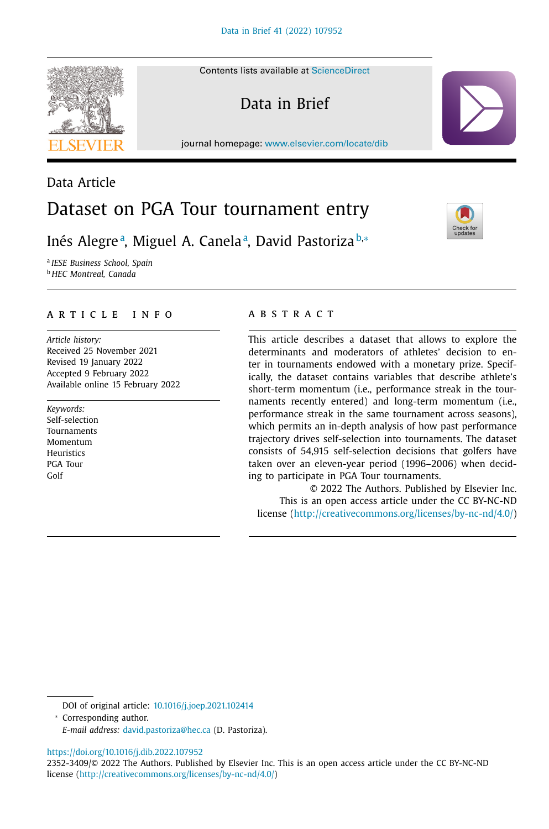Contents lists available at [ScienceDirect](http://www.ScienceDirect.com)

Data in Brief

journal homepage: [www.elsevier.com/locate/dib](http://www.elsevier.com/locate/dib)



# Inés Alegreª, Miguel A. Canelaª, David Pastoriza<sup>b,</sup>∗

<sup>a</sup> *IESE Business School, Spain* <sup>b</sup> *HEC Montreal, Canada*

# a r t i c l e i n f o

*Article history:* Received 25 November 2021 Revised 19 January 2022 Accepted 9 February 2022 Available online 15 February 2022

*Keywords:* Self-selection Tournaments Momentum **Heuristics** PGA Tour Golf

# a b s t r a c t

This article describes a dataset that allows to explore the determinants and moderators of athletes' decision to enter in tournaments endowed with a monetary prize. Specifically, the dataset contains variables that describe athlete's short-term momentum (i.e., performance streak in the tournaments recently entered) and long-term momentum (i.e., performance streak in the same tournament across seasons), which permits an in-depth analysis of how past performance trajectory drives self-selection into tournaments. The dataset consists of 54,915 self-selection decisions that golfers have taken over an eleven-year period (1996–2006) when deciding to participate in PGA Tour tournaments.

© 2022 The Authors. Published by Elsevier Inc. This is an open access article under the CC BY-NC-ND license [\(http://creativecommons.org/licenses/by-nc-nd/4.0/\)](http://creativecommons.org/licenses/by-nc-nd/4.0/)

<sup>∗</sup> Corresponding author.

<https://doi.org/10.1016/j.dib.2022.107952>







DOI of original article: [10.1016/j.joep.2021.102414](https://doi.org/10.1016/j.joep.2021.102414)

*E-mail address:* [david.pastoriza@hec.ca](mailto:david.pastoriza@hec.ca) (D. Pastoriza).

<sup>2352-3409/© 2022</sup> The Authors. Published by Elsevier Inc. This is an open access article under the CC BY-NC-ND license [\(http://creativecommons.org/licenses/by-nc-nd/4.0/\)](http://creativecommons.org/licenses/by-nc-nd/4.0/)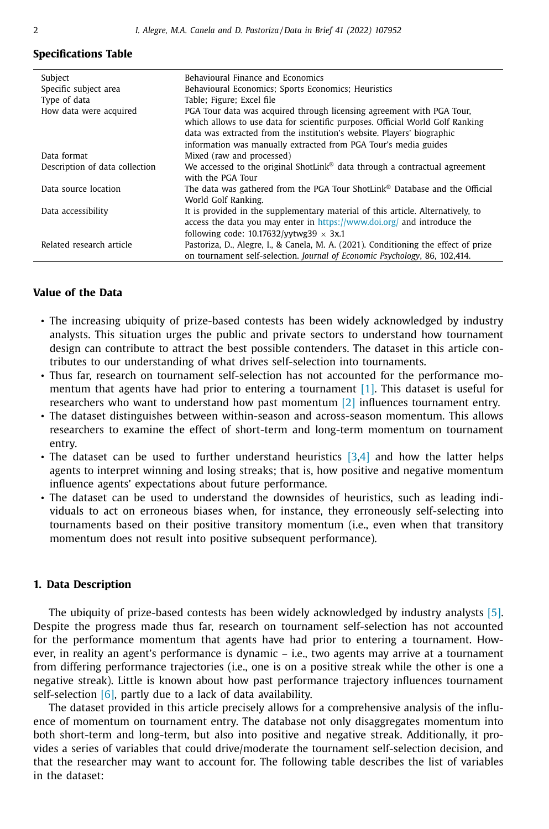### **Specifications Table**

| Subject                        | Behavioural Finance and Economics                                                                                                                                                                                                                                                                   |
|--------------------------------|-----------------------------------------------------------------------------------------------------------------------------------------------------------------------------------------------------------------------------------------------------------------------------------------------------|
| Specific subject area          | Behavioural Economics; Sports Economics; Heuristics                                                                                                                                                                                                                                                 |
| Type of data                   | Table; Figure; Excel file                                                                                                                                                                                                                                                                           |
| How data were acquired         | PGA Tour data was acquired through licensing agreement with PGA Tour,<br>which allows to use data for scientific purposes. Official World Golf Ranking<br>data was extracted from the institution's website. Players' biographic<br>information was manually extracted from PGA Tour's media guides |
| Data format                    | Mixed (raw and processed)                                                                                                                                                                                                                                                                           |
| Description of data collection | We accessed to the original ShotLink <sup>®</sup> data through a contractual agreement<br>with the PGA Tour                                                                                                                                                                                         |
| Data source location           | The data was gathered from the PGA Tour ShotLink <sup>®</sup> Database and the Official<br>World Golf Ranking.                                                                                                                                                                                      |
| Data accessibility             | It is provided in the supplementary material of this article. Alternatively, to<br>access the data you may enter in https://www.doi.org/ and introduce the<br>following code: $10.17632$ /yytwg39 $\times$ 3x.1                                                                                     |
| Related research article       | Pastoriza, D., Alegre, I., & Canela, M. A. (2021). Conditioning the effect of prize<br>on tournament self-selection. Journal of Economic Psychology, 86, 102,414.                                                                                                                                   |

### **Value of the Data**

- The increasing ubiquity of prize-based contests has been widely acknowledged by industry analysts. This situation urges the public and private sectors to understand how tournament design can contribute to attract the best possible contenders. The dataset in this article contributes to our understanding of what drives self-selection into tournaments.
- Thus far, research on tournament self-selection has not accounted for the performance momentum that agents have had prior to entering a tournament [\[1\].](#page-7-0) This dataset is useful for researchers who want to understand how past momentum  $\lfloor 2 \rfloor$  influences tournament entry.
- The dataset distinguishes between within-season and across-season momentum. This allows researchers to examine the effect of short-term and long-term momentum on tournament entry.
- The dataset can be used to further understand heuristics  $[3,4]$  and how the latter helps agents to interpret winning and losing streaks; that is, how positive and negative momentum influence agents' expectations about future performance.
- The dataset can be used to understand the downsides of heuristics, such as leading individuals to act on erroneous biases when, for instance, they erroneously self-selecting into tournaments based on their positive transitory momentum (i.e., even when that transitory momentum does not result into positive subsequent performance).

### **1. Data Description**

The ubiquity of prize-based contests has been widely acknowledged by industry analysts [\[5\].](#page-7-0) Despite the progress made thus far, research on tournament self-selection has not accounted for the performance momentum that agents have had prior to entering a tournament. However, in reality an agent's performance is dynamic – i.e., two agents may arrive at a tournament from differing performance trajectories (i.e., one is on a positive streak while the other is one a negative streak). Little is known about how past performance trajectory influences tournament self-selection  $[6]$ , partly due to a lack of data availability.

The dataset provided in this article precisely allows for a comprehensive analysis of the influence of momentum on tournament entry. The database not only disaggregates momentum into both short-term and long-term, but also into positive and negative streak. Additionally, it provides a series of variables that could drive/moderate the tournament self-selection decision, and that the researcher may want to account for. The following table describes the list of variables in the dataset:

L,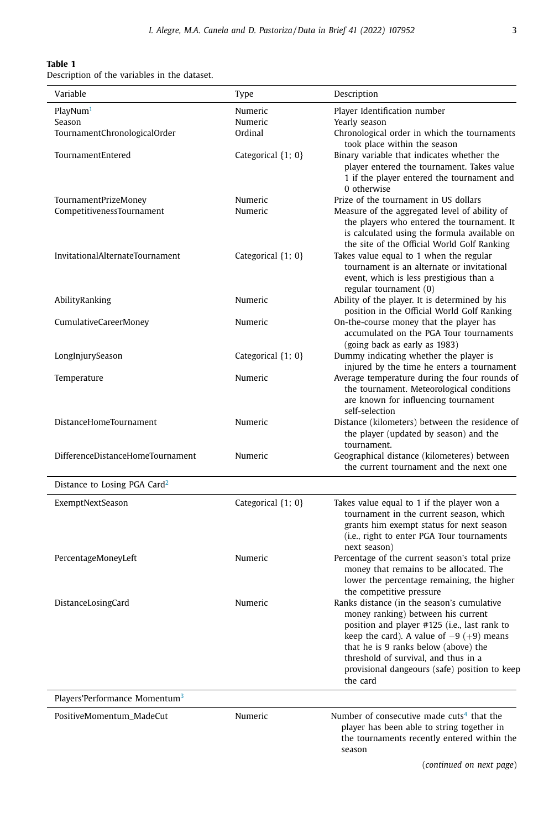### **Table 1**

Description of the variables in the dataset.

| Variable                                          | Type               | Description                                                                                                                                                                                                                                                                                                                 |  |  |
|---------------------------------------------------|--------------------|-----------------------------------------------------------------------------------------------------------------------------------------------------------------------------------------------------------------------------------------------------------------------------------------------------------------------------|--|--|
| PlayNum <sup>1</sup>                              | Numeric            | Player Identification number                                                                                                                                                                                                                                                                                                |  |  |
| Season<br>TournamentChronologicalOrder            | Numeric<br>Ordinal | Yearly season<br>Chronological order in which the tournaments<br>took place within the season                                                                                                                                                                                                                               |  |  |
| TournamentEntered                                 | Categorical {1; 0} | Binary variable that indicates whether the<br>player entered the tournament. Takes value<br>1 if the player entered the tournament and<br>0 otherwise                                                                                                                                                                       |  |  |
| TournamentPrizeMoney<br>CompetitivenessTournament | Numeric<br>Numeric | Prize of the tournament in US dollars<br>Measure of the aggregated level of ability of<br>the players who entered the tournament. It<br>is calculated using the formula available on<br>the site of the Official World Golf Ranking                                                                                         |  |  |
| InvitationalAlternateTournament                   | Categorical {1; 0} | Takes value equal to 1 when the regular<br>tournament is an alternate or invitational<br>event, which is less prestigious than a<br>regular tournament (0)                                                                                                                                                                  |  |  |
| AbilityRanking                                    | Numeric            | Ability of the player. It is determined by his<br>position in the Official World Golf Ranking                                                                                                                                                                                                                               |  |  |
| CumulativeCareerMoney                             | Numeric            | On-the-course money that the player has<br>accumulated on the PGA Tour tournaments<br>(going back as early as 1983)                                                                                                                                                                                                         |  |  |
| LongInjurySeason                                  | Categorical {1; 0} | Dummy indicating whether the player is<br>injured by the time he enters a tournament                                                                                                                                                                                                                                        |  |  |
| Temperature                                       | Numeric            | Average temperature during the four rounds of<br>the tournament. Meteorological conditions<br>are known for influencing tournament<br>self-selection                                                                                                                                                                        |  |  |
| <b>DistanceHomeTournament</b>                     | Numeric            | Distance (kilometers) between the residence of<br>the player (updated by season) and the<br>tournament.                                                                                                                                                                                                                     |  |  |
| DifferenceDistanceHomeTournament                  | Numeric            | Geographical distance (kilometeres) between<br>the current tournament and the next one                                                                                                                                                                                                                                      |  |  |
| Distance to Losing PGA Card <sup>2</sup>          |                    |                                                                                                                                                                                                                                                                                                                             |  |  |
| ExemptNextSeason                                  | Categorical {1; 0} | Takes value equal to 1 if the player won a<br>tournament in the current season, which<br>grants him exempt status for next season<br>(i.e., right to enter PGA Tour tournaments<br>next season)                                                                                                                             |  |  |
| PercentageMoneyLeft                               | Numeric            | Percentage of the current season's total prize<br>money that remains to be allocated. The<br>lower the percentage remaining, the higher<br>the competitive pressure                                                                                                                                                         |  |  |
| DistanceLosingCard                                | Numeric            | Ranks distance (in the season's cumulative<br>money ranking) between his current<br>position and player #125 (i.e., last rank to<br>keep the card). A value of $-9 (+9)$ means<br>that he is 9 ranks below (above) the<br>threshold of survival, and thus in a<br>provisional dangeours (safe) position to keep<br>the card |  |  |
| Players'Performance Momentum <sup>3</sup>         |                    |                                                                                                                                                                                                                                                                                                                             |  |  |
| PositiveMomentum_MadeCut                          | Numeric            | Number of consecutive made cuts <sup>4</sup> that the<br>player has been able to string together in<br>the tournaments recently entered within the<br>season                                                                                                                                                                |  |  |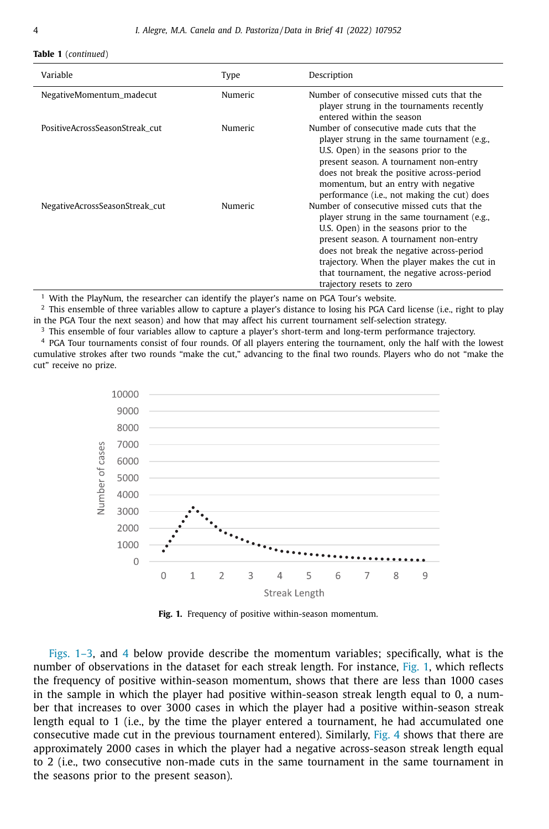#### **Table 1** (*continued*)

| Variable                       | Type           | Description                                                                                                                                                                                                                                                                                                                                            |
|--------------------------------|----------------|--------------------------------------------------------------------------------------------------------------------------------------------------------------------------------------------------------------------------------------------------------------------------------------------------------------------------------------------------------|
| NegativeMomentum_madecut       | <b>Numeric</b> | Number of consecutive missed cuts that the<br>player strung in the tournaments recently<br>entered within the season                                                                                                                                                                                                                                   |
| PositiveAcrossSeasonStreak cut | Numeric        | Number of consecutive made cuts that the<br>player strung in the same tournament (e.g.,<br>U.S. Open) in the seasons prior to the<br>present season. A tournament non-entry<br>does not break the positive across-period<br>momentum, but an entry with negative<br>performance ( <i>i.e.</i> , not making the cut) does                               |
| NegativeAcrossSeasonStreak_cut | <b>Numeric</b> | Number of consecutive missed cuts that the<br>player strung in the same tournament (e.g.,<br>U.S. Open) in the seasons prior to the<br>present season. A tournament non-entry<br>does not break the negative across-period<br>trajectory. When the player makes the cut in<br>that tournament, the negative across-period<br>trajectory resets to zero |

<sup>1</sup> With the PlayNum, the researcher can identify the player's name on PGA Tour's website.

<sup>2</sup> This ensemble of three variables allow to capture a player's distance to losing his PGA Card license (i.e., right to play in the PGA Tour the next season) and how that may affect his current tournament self-selection strategy.

<sup>3</sup> This ensemble of four variables allow to capture a player's short-term and long-term performance trajectory.

<sup>4</sup> PGA Tour tournaments consist of four rounds. Of all players entering the tournament, only the half with the lowest cumulative strokes after two rounds "make the cut," advancing to the final two rounds. Players who do not "make the cut" receive no prize.



**Fig. 1.** Frequency of positive within-season momentum.

Figs. 1–3, and [4](#page-5-0) below provide describe the momentum variables; specifically, what is the number of observations in the dataset for each streak length. For instance, Fig. 1, which reflects the frequency of positive within-season momentum, shows that there are less than 1000 cases in the sample in which the player had positive within-season streak length equal to 0, a number that increases to over 3000 cases in which the player had a positive within-season streak length equal to 1 (i.e., by the time the player entered a tournament, he had accumulated one consecutive made cut in the previous tournament entered). Similarly, [Fig.](#page-5-0) 4 shows that there are approximately 2000 cases in which the player had a negative across-season streak length equal to 2 (i.e., two consecutive non-made cuts in the same tournament in the same tournament in the seasons prior to the present season).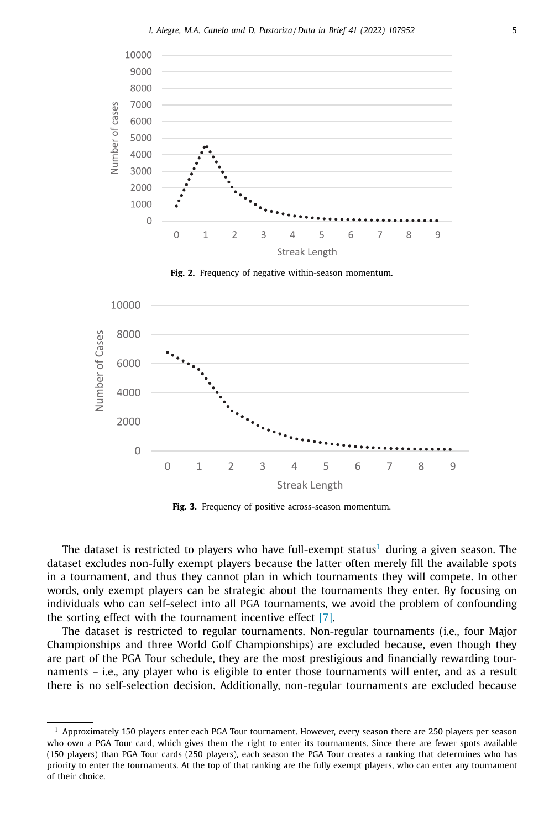



**Fig. 3.** Frequency of positive across-season momentum.

The dataset is restricted to players who have full-exempt status<sup>1</sup> during a given season. The dataset excludes non-fully exempt players because the latter often merely fill the available spots in a tournament, and thus they cannot plan in which tournaments they will compete. In other words, only exempt players can be strategic about the tournaments they enter. By focusing on individuals who can self-select into all PGA tournaments, we avoid the problem of confounding the sorting effect with the tournament incentive effect [\[7\].](#page-7-0)

The dataset is restricted to regular tournaments. Non-regular tournaments (i.e., four Major Championships and three World Golf Championships) are excluded because, even though they are part of the PGA Tour schedule, they are the most prestigious and financially rewarding tournaments – i.e., any player who is eligible to enter those tournaments will enter, and as a result there is no self-selection decision. Additionally, non-regular tournaments are excluded because

 $<sup>1</sup>$  Approximately 150 players enter each PGA Tour tournament. However, every season there are 250 players per season</sup> who own a PGA Tour card, which gives them the right to enter its tournaments. Since there are fewer spots available (150 players) than PGA Tour cards (250 players), each season the PGA Tour creates a ranking that determines who has priority to enter the tournaments. At the top of that ranking are the fully exempt players, who can enter any tournament of their choice.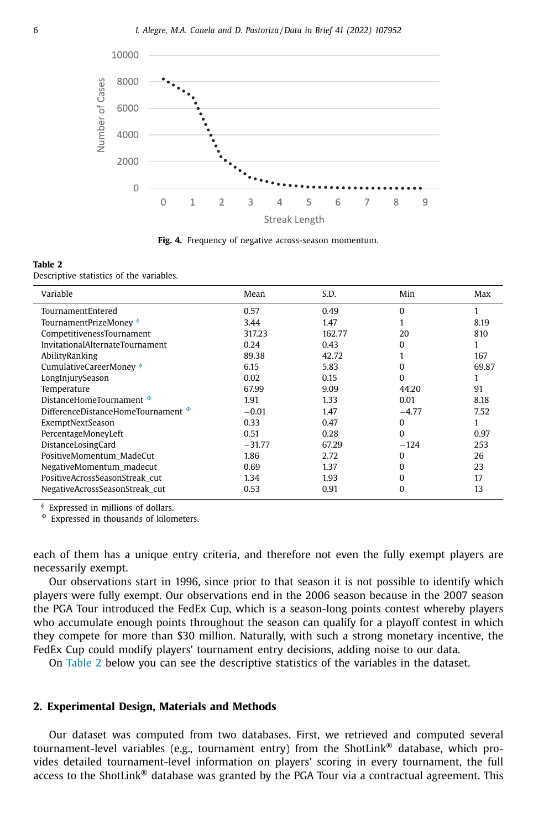<span id="page-5-0"></span>

**Fig. 4.** Frequency of negative across-season momentum.

#### **Table 2**

Descriptive statistics of the variables.

| Variable                                | Mean     | S.D.   | Min      | Max   |
|-----------------------------------------|----------|--------|----------|-------|
| TournamentEntered                       | 0.57     | 0.49   | $\Omega$ |       |
| TournamentPrizeMoney $\frac{1}{2}$      | 3.44     | 1.47   |          | 8.19  |
| CompetitivenessTournament               | 317.23   | 162.77 | 20       | 810   |
| InvitationalAlternateTournament         | 0.24     | 0.43   | $\Omega$ |       |
| AbilityRanking                          | 89.38    | 42.72  |          | 167   |
| CumulativeCareerMoney $\frac{1}{2}$     | 6.15     | 5.83   | $\Omega$ | 69.87 |
| LongInjurySeason                        | 0.02     | 0.15   | $\Omega$ |       |
| Temperature                             | 67.99    | 9.09   | 44.20    | 91    |
| DistanceHomeTournament $\Phi$           | 1.91     | 1.33   | 0.01     | 8.18  |
| DifferenceDistanceHomeTournament $\Phi$ | $-0.01$  | 1.47   | $-4.77$  | 7.52  |
| ExemptNextSeason                        | 0.33     | 0.47   | 0        |       |
| PercentageMoneyLeft                     | 0.51     | 0.28   | $\Omega$ | 0.97  |
| DistanceLosingCard                      | $-31.77$ | 67.29  | $-124$   | 253   |
| PositiveMomentum MadeCut                | 1.86     | 2.72   | $\Omega$ | 26    |
| NegativeMomentum_madecut                | 0.69     | 1.37   | $\Omega$ | 23    |
| PositiveAcrossSeasonStreak cut          | 1.34     | 1.93   | $\Omega$ | 17    |
| NegativeAcrossSeasonStreak_cut          | 0.53     | 0.91   | $\Omega$ | 13    |

<sup>ɸ</sup> Expressed in millions of dollars.

- Expressed in thousands of kilometers.

each of them has a unique entry criteria, and therefore not even the fully exempt players are necessarily exempt.

Our observations start in 1996, since prior to that season it is not possible to identify which players were fully exempt. Our observations end in the 2006 season because in the 2007 season the PGA Tour introduced the FedEx Cup, which is a season-long points contest whereby players who accumulate enough points throughout the season can qualify for a playoff contest in which they compete for more than \$30 million. Naturally, with such a strong monetary incentive, the FedEx Cup could modify players' tournament entry decisions, adding noise to our data.

On Table 2 below you can see the descriptive statistics of the variables in the dataset.

### **2. Experimental Design, Materials and Methods**

Our dataset was computed from two databases. First, we retrieved and computed several tournament-level variables (e.g., tournament entry) from the ShotLink® database, which provides detailed tournament-level information on players' scoring in every tournament, the full access to the ShotLink® database was granted by the PGA Tour via a contractual agreement. This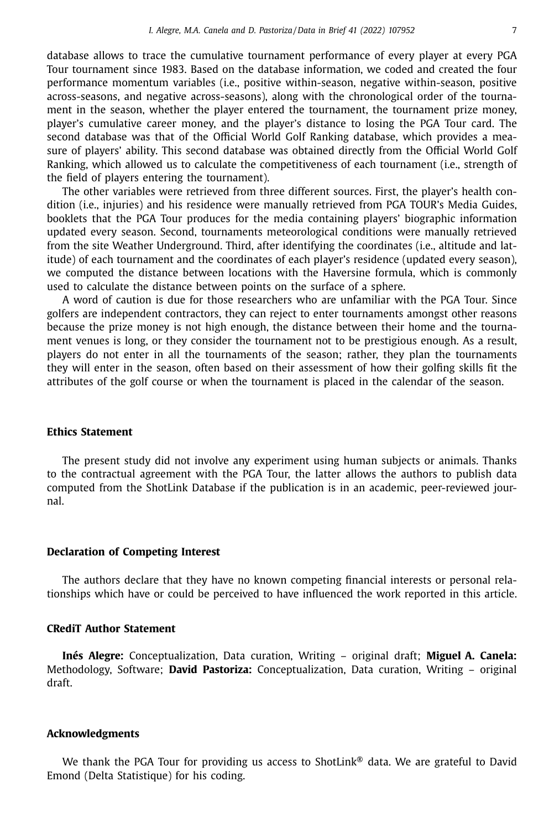database allows to trace the cumulative tournament performance of every player at every PGA Tour tournament since 1983. Based on the database information, we coded and created the four performance momentum variables (i.e., positive within-season, negative within-season, positive across-seasons, and negative across-seasons), along with the chronological order of the tournament in the season, whether the player entered the tournament, the tournament prize money, player's cumulative career money, and the player's distance to losing the PGA Tour card. The second database was that of the Official World Golf Ranking database, which provides a measure of players' ability. This second database was obtained directly from the Official World Golf Ranking, which allowed us to calculate the competitiveness of each tournament (i.e., strength of the field of players entering the tournament).

The other variables were retrieved from three different sources. First, the player's health condition (i.e., injuries) and his residence were manually retrieved from PGA TOUR's Media Guides, booklets that the PGA Tour produces for the media containing players' biographic information updated every season. Second, tournaments meteorological conditions were manually retrieved from the site Weather Underground. Third, after identifying the coordinates (i.e., altitude and latitude) of each tournament and the coordinates of each player's residence (updated every season), we computed the distance between locations with the Haversine formula, which is commonly used to calculate the distance between points on the surface of a sphere.

A word of caution is due for those researchers who are unfamiliar with the PGA Tour. Since golfers are independent contractors, they can reject to enter tournaments amongst other reasons because the prize money is not high enough, the distance between their home and the tournament venues is long, or they consider the tournament not to be prestigious enough. As a result, players do not enter in all the tournaments of the season; rather, they plan the tournaments they will enter in the season, often based on their assessment of how their golfing skills fit the attributes of the golf course or when the tournament is placed in the calendar of the season.

### **Ethics Statement**

The present study did not involve any experiment using human subjects or animals. Thanks to the contractual agreement with the PGA Tour, the latter allows the authors to publish data computed from the ShotLink Database if the publication is in an academic, peer-reviewed journal.

### **Declaration of Competing Interest**

The authors declare that they have no known competing financial interests or personal relationships which have or could be perceived to have influenced the work reported in this article.

# **CRediT Author Statement**

**Inés Alegre:** Conceptualization, Data curation, Writing – original draft; **Miguel A. Canela:** Methodology, Software; **David Pastoriza:** Conceptualization, Data curation, Writing – original draft.

### **Acknowledgments**

We thank the PGA Tour for providing us access to ShotLink<sup>®</sup> data. We are grateful to David Emond (Delta Statistique) for his coding.